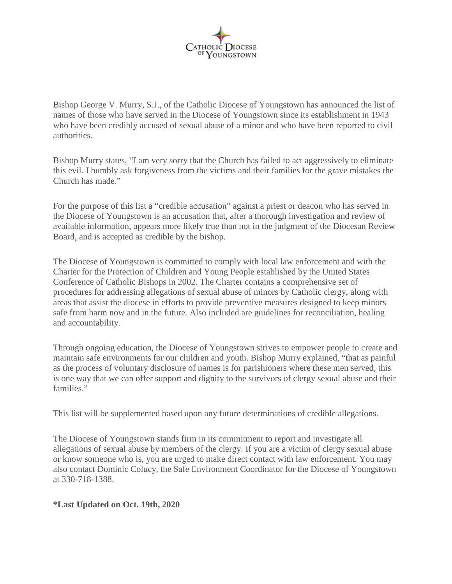

Bishop George V. Murry, S.J., of the Catholic Diocese of Youngstown has announced the list of names of those who have served in the Diocese of Youngstown since its establishment in 1943 who have been credibly accused of sexual abuse of a minor and who have been reported to civil authorities.

Bishop Murry states, "I am very sorry that the Church has failed to act aggressively to eliminate this evil. I humbly ask forgiveness from the victims and their families for the grave mistakes the Church has made."

For the purpose of this list a "credible accusation" against a priest or deacon who has served in the Diocese of Youngstown is an accusation that, after a thorough investigation and review of available information, appears more likely true than not in the judgment of the Diocesan Review Board, and is accepted as credible by the bishop.

The Diocese of Youngstown is committed to comply with local law enforcement and with the Charter for the Protection of Children and Young People established by the United States Conference of Catholic Bishops in 2002. The Charter contains a comprehensive set of procedures for addressing allegations of sexual abuse of minors by Catholic clergy, along with areas that assist the diocese in efforts to provide preventive measures designed to keep minors safe from harm now and in the future. Also included are guidelines for reconciliation, healing and accountability.

Through ongoing education, the Diocese of Youngstown strives to empower people to create and maintain safe environments for our children and youth. Bishop Murry explained, "that as painful as the process of voluntary disclosure of names is for parishioners where these men served, this is one way that we can offer support and dignity to the survivors of clergy sexual abuse and their families."

This list will be supplemented based upon any future determinations of credible allegations.

The Diocese of Youngstown stands firm in its commitment to report and investigate all allegations of sexual abuse by members of the clergy. If you are a victim of clergy sexual abuse or know someone who is, you are urged to make direct contact with law enforcement. You may also contact Dominic Colucy, the Safe Environment Coordinator for the Diocese of Youngstown at 330-718-1388.

## **\*Last Updated on Oct. 19th, 2020**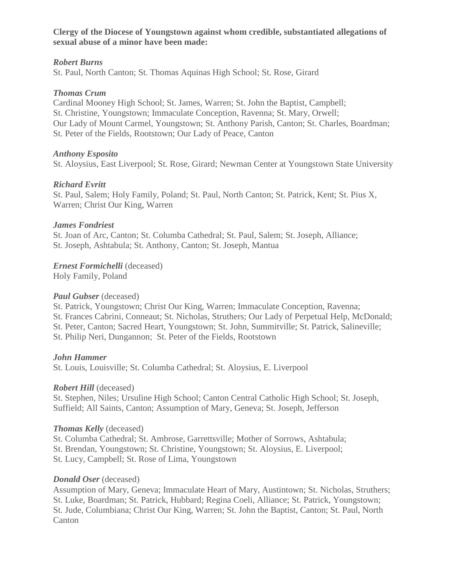**Clergy of the Diocese of Youngstown against whom credible, substantiated allegations of sexual abuse of a minor have been made:**

### *Robert Burns*

St. Paul, North Canton; St. Thomas Aquinas High School; St. Rose, Girard

### *Thomas Crum*

Cardinal Mooney High School; St. James, Warren; St. John the Baptist, Campbell; St. Christine, Youngstown; Immaculate Conception, Ravenna; St. Mary, Orwell; Our Lady of Mount Carmel, Youngstown; St. Anthony Parish, Canton; St. Charles, Boardman; St. Peter of the Fields, Rootstown; Our Lady of Peace, Canton

## *Anthony Esposito*

St. Aloysius, East Liverpool; St. Rose, Girard; Newman Center at Youngstown State University

## *Richard Evritt*

St. Paul, Salem; Holy Family, Poland; St. Paul, North Canton; St. Patrick, Kent; St. Pius X, Warren; Christ Our King, Warren

## *James Fondriest*

St. Joan of Arc, Canton; St. Columba Cathedral; St. Paul, Salem; St. Joseph, Alliance; St. Joseph, Ashtabula; St. Anthony, Canton; St. Joseph, Mantua

*Ernest Formichelli* (deceased)

Holy Family, Poland

## *Paul Gubser* (deceased)

St. Patrick, Youngstown; Christ Our King, Warren; Immaculate Conception, Ravenna; St. Frances Cabrini, Conneaut; St. Nicholas, Struthers; Our Lady of Perpetual Help, McDonald; St. Peter, Canton; Sacred Heart, Youngstown; St. John, Summitville; St. Patrick, Salineville; St. Philip Neri, Dungannon; St. Peter of the Fields, Rootstown

#### *John Hammer*

St. Louis, Louisville; St. Columba Cathedral; St. Aloysius, E. Liverpool

#### *Robert Hill* (deceased)

St. Stephen, Niles; Ursuline High School; Canton Central Catholic High School; St. Joseph, Suffield; All Saints, Canton; Assumption of Mary, Geneva; St. Joseph, Jefferson

#### *Thomas Kelly* (deceased)

St. Columba Cathedral; St. Ambrose, Garrettsville; Mother of Sorrows, Ashtabula; St. Brendan, Youngstown; St. Christine, Youngstown; St. Aloysius, E. Liverpool; St. Lucy, Campbell; St. Rose of Lima, Youngstown

## *Donald Oser* (deceased)

Assumption of Mary, Geneva; Immaculate Heart of Mary, Austintown; St. Nicholas, Struthers; St. Luke, Boardman; St. Patrick, Hubbard; Regina Coeli, Alliance; St. Patrick, Youngstown; St. Jude, Columbiana; Christ Our King, Warren; St. John the Baptist, Canton; St. Paul, North Canton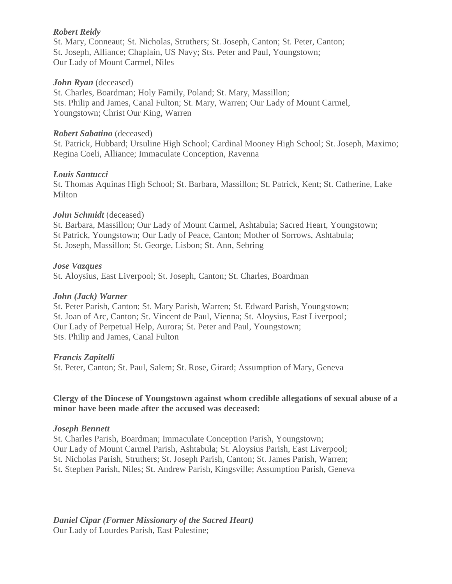## *Robert Reidy*

St. Mary, Conneaut; St. Nicholas, Struthers; St. Joseph, Canton; St. Peter, Canton; St. Joseph, Alliance; Chaplain, US Navy; Sts. Peter and Paul, Youngstown; Our Lady of Mount Carmel, Niles

## *John Ryan* (deceased)

St. Charles, Boardman; Holy Family, Poland; St. Mary, Massillon; Sts. Philip and James, Canal Fulton; St. Mary, Warren; Our Lady of Mount Carmel, Youngstown; Christ Our King, Warren

### *Robert Sabatino* (deceased)

St. Patrick, Hubbard; Ursuline High School; Cardinal Mooney High School; St. Joseph, Maximo; Regina Coeli, Alliance; Immaculate Conception, Ravenna

## *Louis Santucci*

St. Thomas Aquinas High School; St. Barbara, Massillon; St. Patrick, Kent; St. Catherine, Lake Milton

## *John Schmidt* (deceased)

St. Barbara, Massillon; Our Lady of Mount Carmel, Ashtabula; Sacred Heart, Youngstown; St Patrick, Youngstown; Our Lady of Peace, Canton; Mother of Sorrows, Ashtabula; St. Joseph, Massillon; St. George, Lisbon; St. Ann, Sebring

#### *Jose Vazques*

St. Aloysius, East Liverpool; St. Joseph, Canton; St. Charles, Boardman

### *John (Jack) Warner*

St. Peter Parish, Canton; St. Mary Parish, Warren; St. Edward Parish, Youngstown; St. Joan of Arc, Canton; St. Vincent de Paul, Vienna; St. Aloysius, East Liverpool; Our Lady of Perpetual Help, Aurora; St. Peter and Paul, Youngstown; Sts. Philip and James, Canal Fulton

#### *Francis Zapitelli*

St. Peter, Canton; St. Paul, Salem; St. Rose, Girard; Assumption of Mary, Geneva

## **Clergy of the Diocese of Youngstown against whom credible allegations of sexual abuse of a minor have been made after the accused was deceased:**

#### *Joseph Bennett*

St. Charles Parish, Boardman; Immaculate Conception Parish, Youngstown; Our Lady of Mount Carmel Parish, Ashtabula; St. Aloysius Parish, East Liverpool; St. Nicholas Parish, Struthers; St. Joseph Parish, Canton; St. James Parish, Warren; St. Stephen Parish, Niles; St. Andrew Parish, Kingsville; Assumption Parish, Geneva

*Daniel Cipar (Former Missionary of the Sacred Heart)* Our Lady of Lourdes Parish, East Palestine;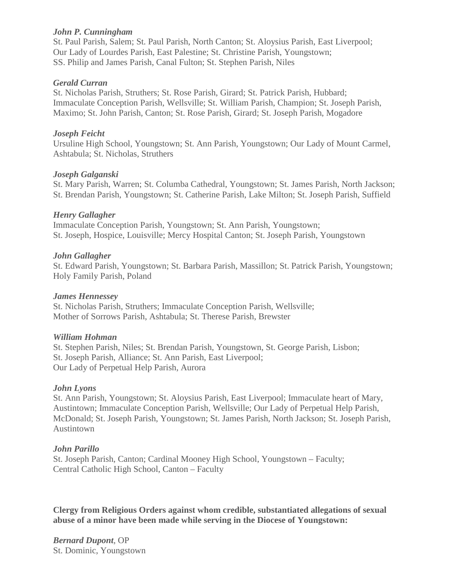### *John P. Cunningham*

St. Paul Parish, Salem; St. Paul Parish, North Canton; St. Aloysius Parish, East Liverpool; Our Lady of Lourdes Parish, East Palestine; St. Christine Parish, Youngstown; SS. Philip and James Parish, Canal Fulton; St. Stephen Parish, Niles

## *Gerald Curran*

St. Nicholas Parish, Struthers; St. Rose Parish, Girard; St. Patrick Parish, Hubbard; Immaculate Conception Parish, Wellsville; St. William Parish, Champion; St. Joseph Parish, Maximo; St. John Parish, Canton; St. Rose Parish, Girard; St. Joseph Parish, Mogadore

## *Joseph Feicht*

Ursuline High School, Youngstown; St. Ann Parish, Youngstown; Our Lady of Mount Carmel, Ashtabula; St. Nicholas, Struthers

## *Joseph Galganski*

St. Mary Parish, Warren; St. Columba Cathedral, Youngstown; St. James Parish, North Jackson; St. Brendan Parish, Youngstown; St. Catherine Parish, Lake Milton; St. Joseph Parish, Suffield

## *Henry Gallagher*

Immaculate Conception Parish, Youngstown; St. Ann Parish, Youngstown; St. Joseph, Hospice, Louisville; Mercy Hospital Canton; St. Joseph Parish, Youngstown

## *John Gallagher*

St. Edward Parish, Youngstown; St. Barbara Parish, Massillon; St. Patrick Parish, Youngstown; Holy Family Parish, Poland

### *James Hennessey*

St. Nicholas Parish, Struthers; Immaculate Conception Parish, Wellsville; Mother of Sorrows Parish, Ashtabula; St. Therese Parish, Brewster

## *William Hohman*

St. Stephen Parish, Niles; St. Brendan Parish, Youngstown, St. George Parish, Lisbon; St. Joseph Parish, Alliance; St. Ann Parish, East Liverpool; Our Lady of Perpetual Help Parish, Aurora

## *John Lyons*

St. Ann Parish, Youngstown; St. Aloysius Parish, East Liverpool; Immaculate heart of Mary, Austintown; Immaculate Conception Parish, Wellsville; Our Lady of Perpetual Help Parish, McDonald; St. Joseph Parish, Youngstown; St. James Parish, North Jackson; St. Joseph Parish, Austintown

## *John Parillo*

St. Joseph Parish, Canton; Cardinal Mooney High School, Youngstown – Faculty; Central Catholic High School, Canton – Faculty

**Clergy from Religious Orders against whom credible, substantiated allegations of sexual abuse of a minor have been made while serving in the Diocese of Youngstown:**

*Bernard Dupont*, OP St. Dominic, Youngstown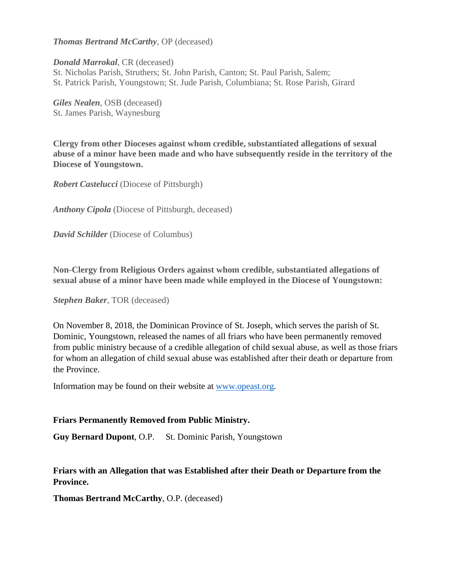*Thomas Bertrand McCarthy*, OP (deceased)

*Donald Marrokal*, CR (deceased) St. Nicholas Parish, Struthers; St. John Parish, Canton; St. Paul Parish, Salem; St. Patrick Parish, Youngstown; St. Jude Parish, Columbiana; St. Rose Parish, Girard

*Giles Nealen*, OSB (deceased) St. James Parish, Waynesburg

**Clergy from other Dioceses against whom credible, substantiated allegations of sexual abuse of a minor have been made and who have subsequently reside in the territory of the Diocese of Youngstown.**

*Robert Castelucci* (Diocese of Pittsburgh)

*Anthony Cipola* (Diocese of Pittsburgh, deceased)

*David Schilder* (Diocese of Columbus)

**Non-Clergy from Religious Orders against whom credible, substantiated allegations of sexual abuse of a minor have been made while employed in the Diocese of Youngstown:**

*Stephen Baker*, TOR (deceased)

On November 8, 2018, the Dominican Province of St. Joseph, which serves the parish of St. Dominic, Youngstown, released the names of all friars who have been permanently removed from public ministry because of a credible allegation of child sexual abuse, as well as those friars for whom an allegation of child sexual abuse was established after their death or departure from the Province.

Information may be found on their website at [www.opeast.org.](http://www.opeast.org/)

#### **Friars Permanently Removed from Public Ministry.**

**Guy Bernard Dupont**, O.P. St. Dominic Parish, Youngstown

**Friars with an Allegation that was Established after their Death or Departure from the Province.**

**Thomas Bertrand McCarthy**, O.P. (deceased)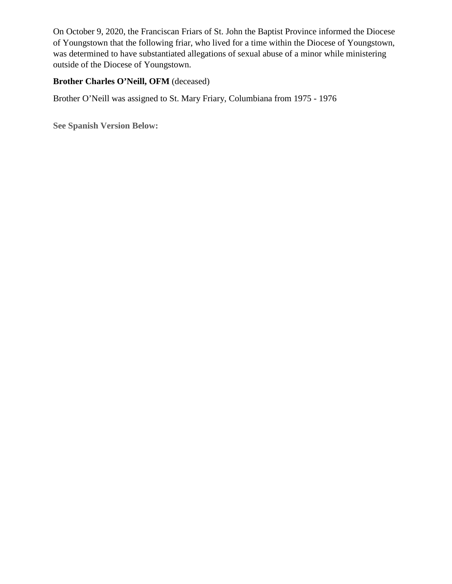On October 9, 2020, the Franciscan Friars of St. John the Baptist Province informed the Diocese of Youngstown that the following friar, who lived for a time within the Diocese of Youngstown, was determined to have substantiated allegations of sexual abuse of a minor while ministering outside of the Diocese of Youngstown.

# **Brother Charles O'Neill, OFM** (deceased)

Brother O'Neill was assigned to St. Mary Friary, Columbiana from 1975 - 1976

**See Spanish Version Below:**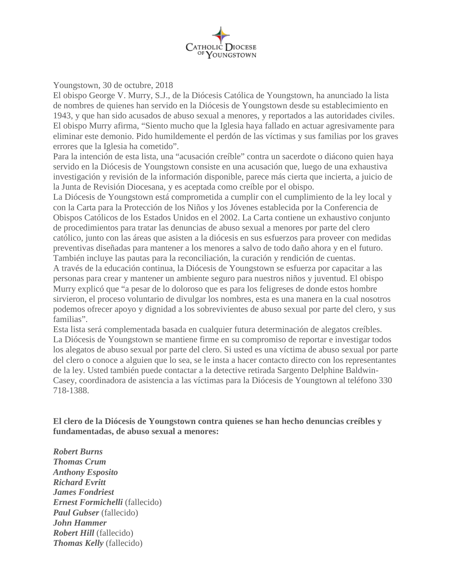

#### Youngstown, 30 de octubre, 2018

El obispo George V. Murry, S.J., de la Diócesis Católica de Youngstown, ha anunciado la lista de nombres de quienes han servido en la Diócesis de Youngstown desde su establecimiento en 1943, y que han sido acusados de abuso sexual a menores, y reportados a las autoridades civiles. El obispo Murry afirma, "Siento mucho que la Iglesia haya fallado en actuar agresivamente para eliminar este demonio. Pido humildemente el perdón de las víctimas y sus familias por los graves errores que la Iglesia ha cometido".

Para la intención de esta lista, una "acusación creíble" contra un sacerdote o diácono quien haya servido en la Diócesis de Youngstown consiste en una acusación que, luego de una exhaustiva investigación y revisión de la información disponible, parece más cierta que incierta, a juicio de la Junta de Revisión Diocesana, y es aceptada como creíble por el obispo.

La Diócesis de Youngstown está comprometida a cumplir con el cumplimiento de la ley local y con la Carta para la Protección de los Niños y los Jóvenes establecida por la Conferencia de Obispos Católicos de los Estados Unidos en el 2002. La Carta contiene un exhaustivo conjunto de procedimientos para tratar las denuncias de abuso sexual a menores por parte del clero católico, junto con las áreas que asisten a la diócesis en sus esfuerzos para proveer con medidas preventivas diseñadas para mantener a los menores a salvo de todo daño ahora y en el futuro. También incluye las pautas para la reconciliación, la curación y rendición de cuentas.

A través de la educación continua, la Diócesis de Youngstown se esfuerza por capacitar a las personas para crear y mantener un ambiente seguro para nuestros niños y juventud. El obispo Murry explicó que "a pesar de lo doloroso que es para los feligreses de donde estos hombre sirvieron, el proceso voluntario de divulgar los nombres, esta es una manera en la cual nosotros podemos ofrecer apoyo y dignidad a los sobrevivientes de abuso sexual por parte del clero, y sus familias".

Esta lista será complementada basada en cualquier futura determinación de alegatos creíbles. La Diócesis de Youngstown se mantiene firme en su compromiso de reportar e investigar todos los alegatos de abuso sexual por parte del clero. Si usted es una víctima de abuso sexual por parte del clero o conoce a alguien que lo sea, se le insta a hacer contacto directo con los representantes de la ley. Usted también puede contactar a la detective retirada Sargento Delphine Baldwin-Casey, coordinadora de asistencia a las víctimas para la Diócesis de Youngtown al teléfono 330 718-1388.

**El clero de la Diócesis de Youngstown contra quienes se han hecho denuncias creíbles y fundamentadas, de abuso sexual a menores:**

*Robert Burns Thomas Crum Anthony Esposito Richard Evritt James Fondriest Ernest Formichelli* (fallecido) *Paul Gubser* (fallecido) *John Hammer Robert Hill* (fallecido) *Thomas Kelly* (fallecido)